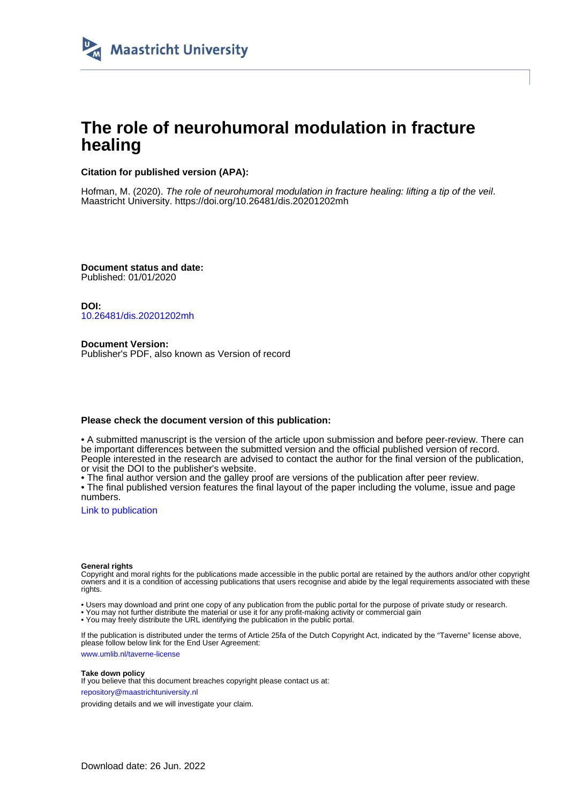

# **The role of neurohumoral modulation in fracture healing**

### **Citation for published version (APA):**

Hofman, M. (2020). The role of neurohumoral modulation in fracture healing: lifting a tip of the veil. Maastricht University.<https://doi.org/10.26481/dis.20201202mh>

**Document status and date:** Published: 01/01/2020

**DOI:** [10.26481/dis.20201202mh](https://doi.org/10.26481/dis.20201202mh)

**Document Version:** Publisher's PDF, also known as Version of record

#### **Please check the document version of this publication:**

• A submitted manuscript is the version of the article upon submission and before peer-review. There can be important differences between the submitted version and the official published version of record. People interested in the research are advised to contact the author for the final version of the publication, or visit the DOI to the publisher's website.

• The final author version and the galley proof are versions of the publication after peer review.

• The final published version features the final layout of the paper including the volume, issue and page numbers.

[Link to publication](https://cris.maastrichtuniversity.nl/en/publications/f7c639e5-90ad-41fb-b1be-76525ec8cd5a)

#### **General rights**

Copyright and moral rights for the publications made accessible in the public portal are retained by the authors and/or other copyright owners and it is a condition of accessing publications that users recognise and abide by the legal requirements associated with these rights.

• Users may download and print one copy of any publication from the public portal for the purpose of private study or research.

• You may not further distribute the material or use it for any profit-making activity or commercial gain

• You may freely distribute the URL identifying the publication in the public portal.

If the publication is distributed under the terms of Article 25fa of the Dutch Copyright Act, indicated by the "Taverne" license above, please follow below link for the End User Agreement:

www.umlib.nl/taverne-license

#### **Take down policy**

If you believe that this document breaches copyright please contact us at: repository@maastrichtuniversity.nl

providing details and we will investigate your claim.